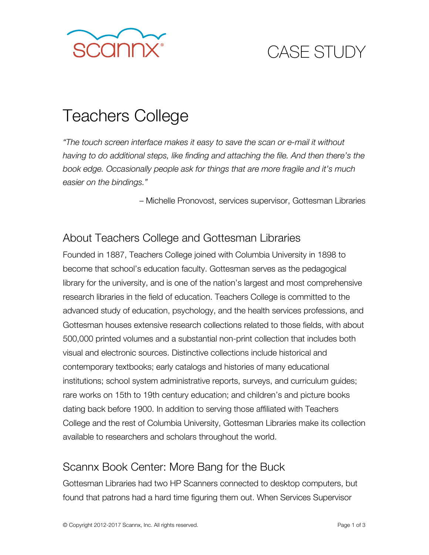

# CASE STUDY

# Teachers College

*"The touch screen interface makes it easy to save the scan or e-mail it without having to do additional steps, like finding and attaching the file. And then there's the book edge. Occasionally people ask for things that are more fragile and it's much easier on the bindings."* 

– Michelle Pronovost, services supervisor, Gottesman Libraries

### About Teachers College and Gottesman Libraries

Founded in 1887, Teachers College joined with Columbia University in 1898 to become that school's education faculty. Gottesman serves as the pedagogical library for the university, and is one of the nation's largest and most comprehensive research libraries in the field of education. Teachers College is committed to the advanced study of education, psychology, and the health services professions, and Gottesman houses extensive research collections related to those fields, with about 500,000 printed volumes and a substantial non-print collection that includes both visual and electronic sources. Distinctive collections include historical and contemporary textbooks; early catalogs and histories of many educational institutions; school system administrative reports, surveys, and curriculum guides; rare works on 15th to 19th century education; and children's and picture books dating back before 1900. In addition to serving those affiliated with Teachers College and the rest of Columbia University, Gottesman Libraries make its collection available to researchers and scholars throughout the world.

#### Scannx Book Center: More Bang for the Buck

Gottesman Libraries had two HP Scanners connected to desktop computers, but found that patrons had a hard time figuring them out. When Services Supervisor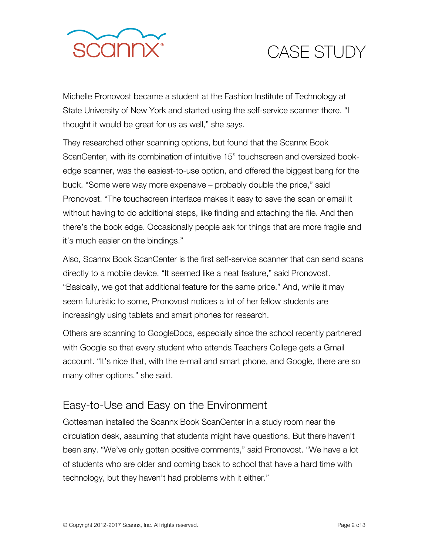

## CASE STUDY

Michelle Pronovost became a student at the Fashion Institute of Technology at State University of New York and started using the self-service scanner there. "I thought it would be great for us as well," she says.

They researched other scanning options, but found that the Scannx Book ScanCenter, with its combination of intuitive 15" touchscreen and oversized bookedge scanner, was the easiest-to-use option, and offered the biggest bang for the buck. "Some were way more expensive – probably double the price," said Pronovost. "The touchscreen interface makes it easy to save the scan or email it without having to do additional steps, like finding and attaching the file. And then there's the book edge. Occasionally people ask for things that are more fragile and it's much easier on the bindings."

Also, Scannx Book ScanCenter is the first self-service scanner that can send scans directly to a mobile device. "It seemed like a neat feature," said Pronovost. "Basically, we got that additional feature for the same price." And, while it may seem futuristic to some, Pronovost notices a lot of her fellow students are increasingly using tablets and smart phones for research.

Others are scanning to GoogleDocs, especially since the school recently partnered with Google so that every student who attends Teachers College gets a Gmail account. "It's nice that, with the e-mail and smart phone, and Google, there are so many other options," she said.

### Easy-to-Use and Easy on the Environment

Gottesman installed the Scannx Book ScanCenter in a study room near the circulation desk, assuming that students might have questions. But there haven't been any. "We've only gotten positive comments," said Pronovost. "We have a lot of students who are older and coming back to school that have a hard time with technology, but they haven't had problems with it either."